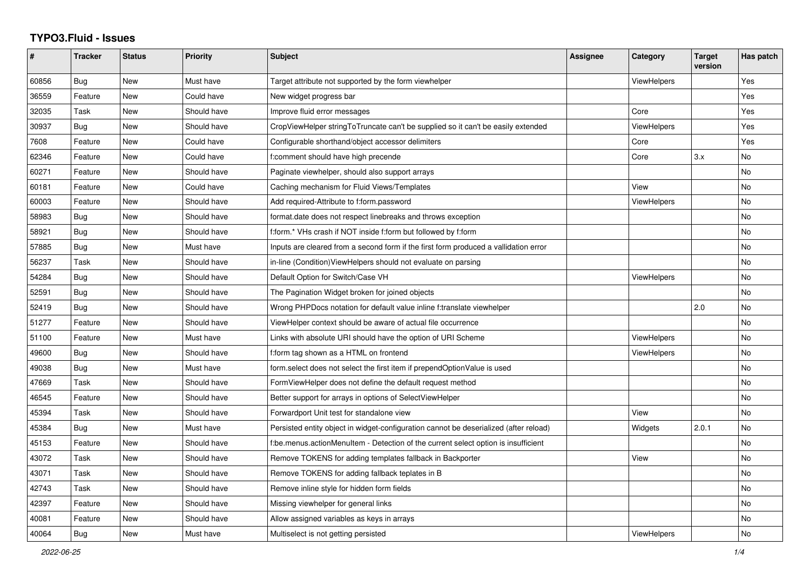## **TYPO3.Fluid - Issues**

| #     | Tracker    | <b>Status</b> | <b>Priority</b> | <b>Subject</b>                                                                        | Assignee | Category           | <b>Target</b><br>version | Has patch |
|-------|------------|---------------|-----------------|---------------------------------------------------------------------------------------|----------|--------------------|--------------------------|-----------|
| 60856 | Bug        | New           | Must have       | Target attribute not supported by the form viewhelper                                 |          | <b>ViewHelpers</b> |                          | Yes       |
| 36559 | Feature    | New           | Could have      | New widget progress bar                                                               |          |                    |                          | Yes       |
| 32035 | Task       | New           | Should have     | Improve fluid error messages                                                          |          | Core               |                          | Yes       |
| 30937 | Bug        | New           | Should have     | CropViewHelper stringToTruncate can't be supplied so it can't be easily extended      |          | <b>ViewHelpers</b> |                          | Yes       |
| 7608  | Feature    | New           | Could have      | Configurable shorthand/object accessor delimiters                                     |          | Core               |                          | Yes       |
| 62346 | Feature    | New           | Could have      | f:comment should have high precende                                                   |          | Core               | 3.x                      | No        |
| 60271 | Feature    | <b>New</b>    | Should have     | Paginate viewhelper, should also support arrays                                       |          |                    |                          | No        |
| 60181 | Feature    | <b>New</b>    | Could have      | Caching mechanism for Fluid Views/Templates                                           |          | View               |                          | No        |
| 60003 | Feature    | New           | Should have     | Add required-Attribute to f:form.password                                             |          | <b>ViewHelpers</b> |                          | No        |
| 58983 | Bug        | New           | Should have     | format.date does not respect linebreaks and throws exception                          |          |                    |                          | No        |
| 58921 | Bug        | New           | Should have     | f:form.* VHs crash if NOT inside f:form but followed by f:form                        |          |                    |                          | No        |
| 57885 | Bug        | <b>New</b>    | Must have       | Inputs are cleared from a second form if the first form produced a vallidation error  |          |                    |                          | No        |
| 56237 | Task       | New           | Should have     | in-line (Condition) View Helpers should not evaluate on parsing                       |          |                    |                          | No        |
| 54284 | <b>Bug</b> | New           | Should have     | Default Option for Switch/Case VH                                                     |          | <b>ViewHelpers</b> |                          | No        |
| 52591 | Bug        | New           | Should have     | The Pagination Widget broken for joined objects                                       |          |                    |                          | No        |
| 52419 | Bug        | New           | Should have     | Wrong PHPDocs notation for default value inline f:translate viewhelper                |          |                    | 2.0                      | No        |
| 51277 | Feature    | New           | Should have     | ViewHelper context should be aware of actual file occurrence                          |          |                    |                          | No        |
| 51100 | Feature    | <b>New</b>    | Must have       | Links with absolute URI should have the option of URI Scheme                          |          | <b>ViewHelpers</b> |                          | No        |
| 49600 | Bug        | New           | Should have     | f:form tag shown as a HTML on frontend                                                |          | ViewHelpers        |                          | No        |
| 49038 | Bug        | New           | Must have       | form select does not select the first item if prependOptionValue is used              |          |                    |                          | No        |
| 47669 | Task       | New           | Should have     | FormViewHelper does not define the default request method                             |          |                    |                          | No        |
| 46545 | Feature    | New           | Should have     | Better support for arrays in options of SelectViewHelper                              |          |                    |                          | No        |
| 45394 | Task       | New           | Should have     | Forwardport Unit test for standalone view                                             |          | View               |                          | No        |
| 45384 | Bug        | <b>New</b>    | Must have       | Persisted entity object in widget-configuration cannot be deserialized (after reload) |          | Widgets            | 2.0.1                    | No        |
| 45153 | Feature    | New           | Should have     | f:be.menus.actionMenuItem - Detection of the current select option is insufficient    |          |                    |                          | No        |
| 43072 | Task       | New           | Should have     | Remove TOKENS for adding templates fallback in Backporter                             |          | View               |                          | No        |
| 43071 | Task       | <b>New</b>    | Should have     | Remove TOKENS for adding fallback teplates in B                                       |          |                    |                          | No        |
| 42743 | Task       | New           | Should have     | Remove inline style for hidden form fields                                            |          |                    |                          | No        |
| 42397 | Feature    | New           | Should have     | Missing viewhelper for general links                                                  |          |                    |                          | No.       |
| 40081 | Feature    | <b>New</b>    | Should have     | Allow assigned variables as keys in arrays                                            |          |                    |                          | No.       |
| 40064 | Bug        | <b>New</b>    | Must have       | Multiselect is not getting persisted                                                  |          | ViewHelpers        |                          | No        |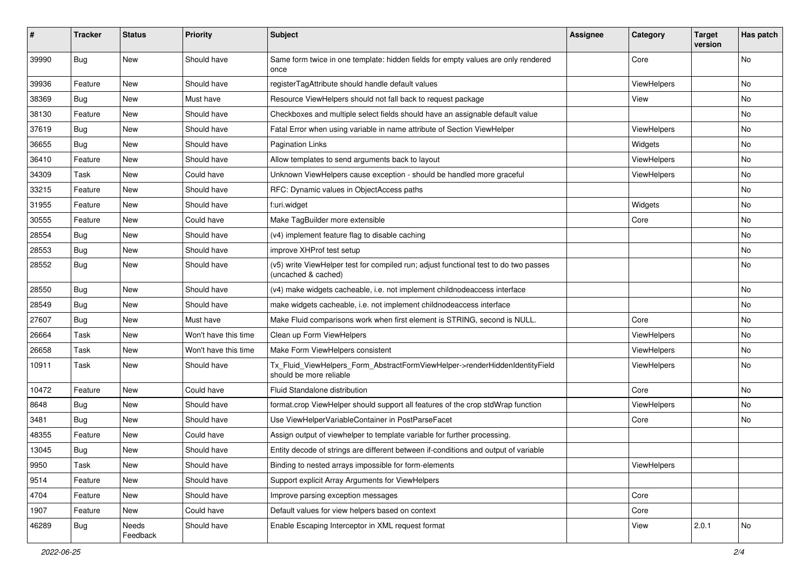| #     | <b>Tracker</b> | <b>Status</b>     | <b>Priority</b>      | Subject                                                                                                     | <b>Assignee</b> | Category           | <b>Target</b><br>version | Has patch |
|-------|----------------|-------------------|----------------------|-------------------------------------------------------------------------------------------------------------|-----------------|--------------------|--------------------------|-----------|
| 39990 | Bug            | New               | Should have          | Same form twice in one template: hidden fields for empty values are only rendered<br>once                   |                 | Core               |                          | <b>No</b> |
| 39936 | Feature        | New               | Should have          | registerTagAttribute should handle default values                                                           |                 | ViewHelpers        |                          | No        |
| 38369 | Bug            | New               | Must have            | Resource ViewHelpers should not fall back to request package                                                |                 | View               |                          | <b>No</b> |
| 38130 | Feature        | New               | Should have          | Checkboxes and multiple select fields should have an assignable default value                               |                 |                    |                          | No        |
| 37619 | Bug            | New               | Should have          | Fatal Error when using variable in name attribute of Section ViewHelper                                     |                 | <b>ViewHelpers</b> |                          | No        |
| 36655 | Bug            | New               | Should have          | <b>Pagination Links</b>                                                                                     |                 | Widgets            |                          | No        |
| 36410 | Feature        | New               | Should have          | Allow templates to send arguments back to layout                                                            |                 | ViewHelpers        |                          | No        |
| 34309 | Task           | New               | Could have           | Unknown ViewHelpers cause exception - should be handled more graceful                                       |                 | ViewHelpers        |                          | No        |
| 33215 | Feature        | <b>New</b>        | Should have          | RFC: Dynamic values in ObjectAccess paths                                                                   |                 |                    |                          | No        |
| 31955 | Feature        | New               | Should have          | f:uri.widget                                                                                                |                 | Widgets            |                          | No        |
| 30555 | Feature        | New               | Could have           | Make TagBuilder more extensible                                                                             |                 | Core               |                          | No        |
| 28554 | Bug            | New               | Should have          | (v4) implement feature flag to disable caching                                                              |                 |                    |                          | No        |
| 28553 | Bug            | New               | Should have          | improve XHProf test setup                                                                                   |                 |                    |                          | No        |
| 28552 | Bug            | New               | Should have          | (v5) write ViewHelper test for compiled run; adjust functional test to do two passes<br>(uncached & cached) |                 |                    |                          | No        |
| 28550 | Bug            | New               | Should have          | (v4) make widgets cacheable, i.e. not implement childnodeaccess interface                                   |                 |                    |                          | No        |
| 28549 | Bug            | New               | Should have          | make widgets cacheable, i.e. not implement childnodeaccess interface                                        |                 |                    |                          | No        |
| 27607 | Bug            | New               | Must have            | Make Fluid comparisons work when first element is STRING, second is NULL.                                   |                 | Core               |                          | No        |
| 26664 | Task           | New               | Won't have this time | Clean up Form ViewHelpers                                                                                   |                 | ViewHelpers        |                          | No        |
| 26658 | Task           | New               | Won't have this time | Make Form ViewHelpers consistent                                                                            |                 | ViewHelpers        |                          | No        |
| 10911 | Task           | New               | Should have          | Tx_Fluid_ViewHelpers_Form_AbstractFormViewHelper->renderHiddenIdentityField<br>should be more reliable      |                 | ViewHelpers        |                          | No        |
| 10472 | Feature        | New               | Could have           | <b>Fluid Standalone distribution</b>                                                                        |                 | Core               |                          | No        |
| 8648  | Bug            | New               | Should have          | format.crop ViewHelper should support all features of the crop stdWrap function                             |                 | ViewHelpers        |                          | No        |
| 3481  | Bug            | New               | Should have          | Use ViewHelperVariableContainer in PostParseFacet                                                           |                 | Core               |                          | No        |
| 48355 | Feature        | <b>New</b>        | Could have           | Assign output of viewhelper to template variable for further processing.                                    |                 |                    |                          |           |
| 13045 | Bug            | New               | Should have          | Entity decode of strings are different between if-conditions and output of variable                         |                 |                    |                          |           |
| 9950  | Task           | New               | Should have          | Binding to nested arrays impossible for form-elements                                                       |                 | ViewHelpers        |                          |           |
| 9514  | Feature        | New               | Should have          | Support explicit Array Arguments for ViewHelpers                                                            |                 |                    |                          |           |
| 4704  | Feature        | New               | Should have          | Improve parsing exception messages                                                                          |                 | Core               |                          |           |
| 1907  | Feature        | New               | Could have           | Default values for view helpers based on context                                                            |                 | Core               |                          |           |
| 46289 | Bug            | Needs<br>Feedback | Should have          | Enable Escaping Interceptor in XML request format                                                           |                 | View               | 2.0.1                    | No        |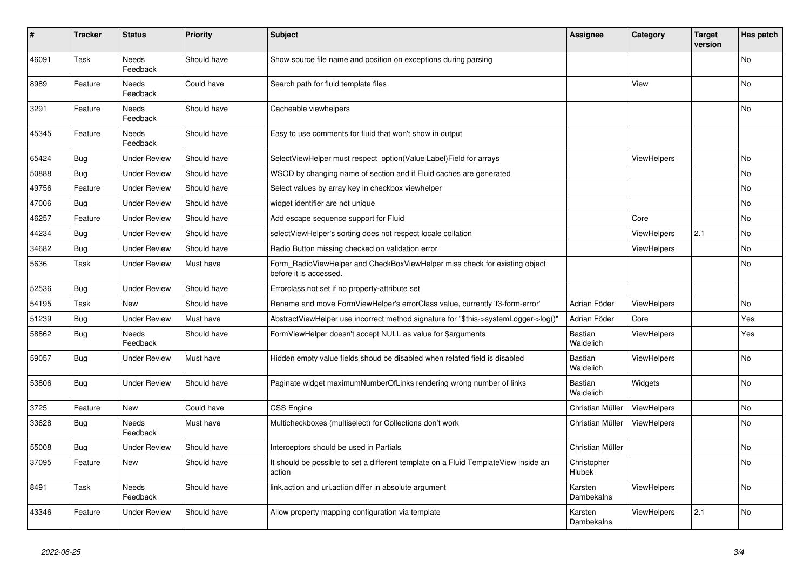| #     | <b>Tracker</b> | <b>Status</b>       | <b>Priority</b> | <b>Subject</b>                                                                                       | <b>Assignee</b>              | Category           | <b>Target</b><br>version | Has patch      |
|-------|----------------|---------------------|-----------------|------------------------------------------------------------------------------------------------------|------------------------------|--------------------|--------------------------|----------------|
| 46091 | Task           | Needs<br>Feedback   | Should have     | Show source file name and position on exceptions during parsing                                      |                              |                    |                          | No             |
| 8989  | Feature        | Needs<br>Feedback   | Could have      | Search path for fluid template files                                                                 |                              | View               |                          | <b>No</b>      |
| 3291  | Feature        | Needs<br>Feedback   | Should have     | Cacheable viewhelpers                                                                                |                              |                    |                          | No             |
| 45345 | Feature        | Needs<br>Feedback   | Should have     | Easy to use comments for fluid that won't show in output                                             |                              |                    |                          |                |
| 65424 | <b>Bug</b>     | Under Review        | Should have     | SelectViewHelper must respect option(Value Label)Field for arrays                                    |                              | ViewHelpers        |                          | <b>No</b>      |
| 50888 | <b>Bug</b>     | <b>Under Review</b> | Should have     | WSOD by changing name of section and if Fluid caches are generated                                   |                              |                    |                          | <b>No</b>      |
| 49756 | Feature        | Under Review        | Should have     | Select values by array key in checkbox viewhelper                                                    |                              |                    |                          | <b>No</b>      |
| 47006 | <b>Bug</b>     | <b>Under Review</b> | Should have     | widget identifier are not unique                                                                     |                              |                    |                          | No             |
| 46257 | Feature        | <b>Under Review</b> | Should have     | Add escape sequence support for Fluid                                                                |                              | Core               |                          | <b>No</b>      |
| 44234 | Bug            | Under Review        | Should have     | selectViewHelper's sorting does not respect locale collation                                         |                              | <b>ViewHelpers</b> | 2.1                      | <b>No</b>      |
| 34682 | Bug            | Under Review        | Should have     | Radio Button missing checked on validation error                                                     |                              | <b>ViewHelpers</b> |                          | N <sub>o</sub> |
| 5636  | Task           | Under Review        | Must have       | Form_RadioViewHelper and CheckBoxViewHelper miss check for existing object<br>before it is accessed. |                              |                    |                          | <b>No</b>      |
| 52536 | <b>Bug</b>     | <b>Under Review</b> | Should have     | Errorclass not set if no property-attribute set                                                      |                              |                    |                          |                |
| 54195 | Task           | New                 | Should have     | Rename and move FormViewHelper's errorClass value, currently 'f3-form-error'                         | Adrian Föder                 | <b>ViewHelpers</b> |                          | <b>No</b>      |
| 51239 | Bug            | <b>Under Review</b> | Must have       | AbstractViewHelper use incorrect method signature for "\$this->systemLogger->log()"                  | Adrian Föder                 | Core               |                          | Yes            |
| 58862 | Bug            | Needs<br>Feedback   | Should have     | FormViewHelper doesn't accept NULL as value for \$arguments                                          | Bastian<br>Waidelich         | <b>ViewHelpers</b> |                          | Yes            |
| 59057 | Bug            | <b>Under Review</b> | Must have       | Hidden empty value fields shoud be disabled when related field is disabled                           | Bastian<br>Waidelich         | <b>ViewHelpers</b> |                          | <b>No</b>      |
| 53806 | Bug            | <b>Under Review</b> | Should have     | Paginate widget maximumNumberOfLinks rendering wrong number of links                                 | <b>Bastian</b><br>Waidelich  | Widgets            |                          | No             |
| 3725  | Feature        | New                 | Could have      | <b>CSS Engine</b>                                                                                    | Christian Müller             | <b>ViewHelpers</b> |                          | No             |
| 33628 | Bug            | Needs<br>Feedback   | Must have       | Multicheckboxes (multiselect) for Collections don't work                                             | Christian Müller             | <b>ViewHelpers</b> |                          | No             |
| 55008 | <b>Bug</b>     | <b>Under Review</b> | Should have     | Interceptors should be used in Partials                                                              | Christian Müller             |                    |                          | No             |
| 37095 | Feature        | New                 | Should have     | It should be possible to set a different template on a Fluid TemplateView inside an<br>action        | Christopher<br><b>Hlubek</b> |                    |                          | No.            |
| 8491  | Task           | Needs<br>Feedback   | Should have     | link.action and uri.action differ in absolute argument                                               | Karsten<br>Dambekalns        | ViewHelpers        |                          | <b>No</b>      |
| 43346 | Feature        | <b>Under Review</b> | Should have     | Allow property mapping configuration via template                                                    | Karsten<br>Dambekalns        | <b>ViewHelpers</b> | 2.1                      | <b>No</b>      |